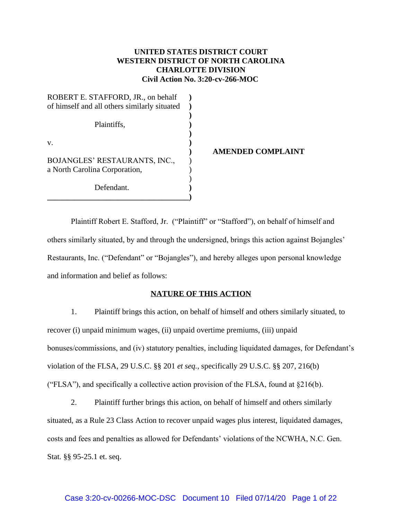# **UNITED STATES DISTRICT COURT WESTERN DISTRICT OF NORTH CAROLINA CHARLOTTE DIVISION Civil Action No. 3:20-cv-266-MOC**

| ROBERT E. STAFFORD, JR., on behalf           |  |
|----------------------------------------------|--|
| of himself and all others similarly situated |  |
|                                              |  |
| Plaintiffs,                                  |  |
|                                              |  |
| V.                                           |  |
|                                              |  |
| BOJANGLES' RESTAURANTS, INC.,                |  |
| a North Carolina Corporation,                |  |
|                                              |  |
| Defendant.                                   |  |
|                                              |  |

### **) AMENDED COMPLAINT**

Plaintiff Robert E. Stafford, Jr. ("Plaintiff" or "Stafford"), on behalf of himself and others similarly situated, by and through the undersigned, brings this action against Bojangles' Restaurants, Inc. ("Defendant" or "Bojangles"), and hereby alleges upon personal knowledge and information and belief as follows:

### **NATURE OF THIS ACTION**

1. Plaintiff brings this action, on behalf of himself and others similarly situated, to recover (i) unpaid minimum wages, (ii) unpaid overtime premiums, (iii) unpaid bonuses/commissions, and (iv) statutory penalties, including liquidated damages, for Defendant's violation of the FLSA, 29 U.S.C. §§ 201 *et seq.*, specifically 29 U.S.C. §§ 207, 216(b) ("FLSA"), and specifically a collective action provision of the FLSA, found at  $\S216(b)$ .

2. Plaintiff further brings this action, on behalf of himself and others similarly situated, as a Rule 23 Class Action to recover unpaid wages plus interest, liquidated damages, costs and fees and penalties as allowed for Defendants' violations of the NCWHA, N.C. Gen. Stat. §§ 95-25.1 et. seq.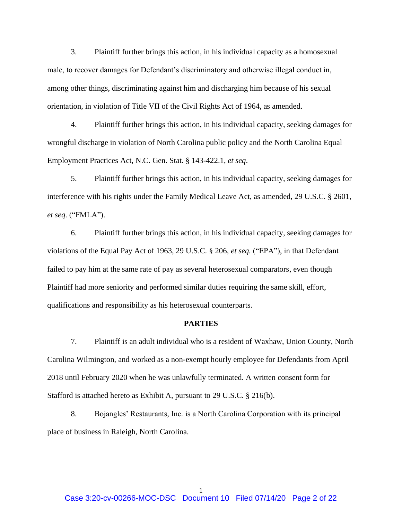3. Plaintiff further brings this action, in his individual capacity as a homosexual male, to recover damages for Defendant's discriminatory and otherwise illegal conduct in, among other things, discriminating against him and discharging him because of his sexual orientation, in violation of Title VII of the Civil Rights Act of 1964, as amended.

4. Plaintiff further brings this action, in his individual capacity, seeking damages for wrongful discharge in violation of North Carolina public policy and the North Carolina Equal Employment Practices Act, N.C. Gen. Stat. § 143-422.1, *et seq*.

5. Plaintiff further brings this action, in his individual capacity, seeking damages for interference with his rights under the Family Medical Leave Act, as amended, 29 U.S.C. § 2601, *et seq*. ("FMLA").

6. Plaintiff further brings this action, in his individual capacity, seeking damages for violations of the Equal Pay Act of 1963, 29 U.S.C. § 206, *et seq.* ("EPA"), in that Defendant failed to pay him at the same rate of pay as several heterosexual comparators, even though Plaintiff had more seniority and performed similar duties requiring the same skill, effort, qualifications and responsibility as his heterosexual counterparts.

### **PARTIES**

7. Plaintiff is an adult individual who is a resident of Waxhaw, Union County, North Carolina Wilmington, and worked as a non-exempt hourly employee for Defendants from April 2018 until February 2020 when he was unlawfully terminated. A written consent form for Stafford is attached hereto as Exhibit A, pursuant to 29 U.S.C. § 216(b).

8. Bojangles' Restaurants, Inc. is a North Carolina Corporation with its principal place of business in Raleigh, North Carolina.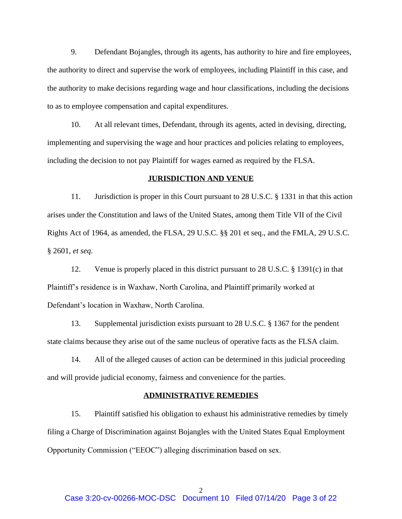9. Defendant Bojangles, through its agents, has authority to hire and fire employees, the authority to direct and supervise the work of employees, including Plaintiff in this case, and the authority to make decisions regarding wage and hour classifications, including the decisions to as to employee compensation and capital expenditures.

10. At all relevant times, Defendant, through its agents, acted in devising, directing, implementing and supervising the wage and hour practices and policies relating to employees, including the decision to not pay Plaintiff for wages earned as required by the FLSA.

### **JURISDICTION AND VENUE**

11. Jurisdiction is proper in this Court pursuant to 28 U.S.C. § 1331 in that this action arises under the Constitution and laws of the United States, among them Title VII of the Civil Rights Act of 1964, as amended, the FLSA, 29 U.S.C. §§ 201 et seq., and the FMLA, 29 U.S.C. § 2601, *et seq*.

12. Venue is properly placed in this district pursuant to 28 U.S.C. § 1391(c) in that Plaintiff's residence is in Waxhaw, North Carolina, and Plaintiff primarily worked at Defendant's location in Waxhaw, North Carolina.

13. Supplemental jurisdiction exists pursuant to 28 U.S.C. § 1367 for the pendent state claims because they arise out of the same nucleus of operative facts as the FLSA claim.

14. All of the alleged causes of action can be determined in this judicial proceeding and will provide judicial economy, fairness and convenience for the parties.

### **ADMINISTRATIVE REMEDIES**

15. Plaintiff satisfied his obligation to exhaust his administrative remedies by timely filing a Charge of Discrimination against Bojangles with the United States Equal Employment Opportunity Commission ("EEOC") alleging discrimination based on sex.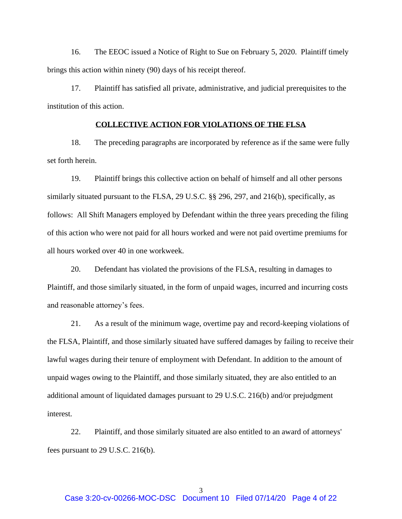16. The EEOC issued a Notice of Right to Sue on February 5, 2020. Plaintiff timely brings this action within ninety (90) days of his receipt thereof.

17. Plaintiff has satisfied all private, administrative, and judicial prerequisites to the institution of this action.

## **COLLECTIVE ACTION FOR VIOLATIONS OF THE FLSA**

18. The preceding paragraphs are incorporated by reference as if the same were fully set forth herein.

19. Plaintiff brings this collective action on behalf of himself and all other persons similarly situated pursuant to the FLSA, 29 U.S.C. §§ 296, 297, and 216(b), specifically, as follows: All Shift Managers employed by Defendant within the three years preceding the filing of this action who were not paid for all hours worked and were not paid overtime premiums for all hours worked over 40 in one workweek.

20. Defendant has violated the provisions of the FLSA, resulting in damages to Plaintiff, and those similarly situated, in the form of unpaid wages, incurred and incurring costs and reasonable attorney's fees.

21. As a result of the minimum wage, overtime pay and record-keeping violations of the FLSA, Plaintiff, and those similarly situated have suffered damages by failing to receive their lawful wages during their tenure of employment with Defendant. In addition to the amount of unpaid wages owing to the Plaintiff, and those similarly situated, they are also entitled to an additional amount of liquidated damages pursuant to 29 U.S.C. 216(b) and/or prejudgment interest.

22. Plaintiff, and those similarly situated are also entitled to an award of attorneys' fees pursuant to 29 U.S.C. 216(b).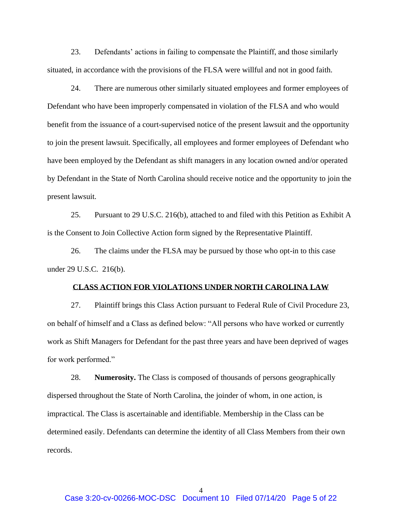23. Defendants' actions in failing to compensate the Plaintiff, and those similarly situated, in accordance with the provisions of the FLSA were willful and not in good faith.

24. There are numerous other similarly situated employees and former employees of Defendant who have been improperly compensated in violation of the FLSA and who would benefit from the issuance of a court-supervised notice of the present lawsuit and the opportunity to join the present lawsuit. Specifically, all employees and former employees of Defendant who have been employed by the Defendant as shift managers in any location owned and/or operated by Defendant in the State of North Carolina should receive notice and the opportunity to join the present lawsuit.

25. Pursuant to 29 U.S.C. 216(b), attached to and filed with this Petition as Exhibit A is the Consent to Join Collective Action form signed by the Representative Plaintiff.

26. The claims under the FLSA may be pursued by those who opt-in to this case under 29 U.S.C. 216(b).

### **CLASS ACTION FOR VIOLATIONS UNDER NORTH CAROLINA LAW**

27. Plaintiff brings this Class Action pursuant to Federal Rule of Civil Procedure 23, on behalf of himself and a Class as defined below: "All persons who have worked or currently work as Shift Managers for Defendant for the past three years and have been deprived of wages for work performed."

28. **Numerosity.** The Class is composed of thousands of persons geographically dispersed throughout the State of North Carolina, the joinder of whom, in one action, is impractical. The Class is ascertainable and identifiable. Membership in the Class can be determined easily. Defendants can determine the identity of all Class Members from their own records.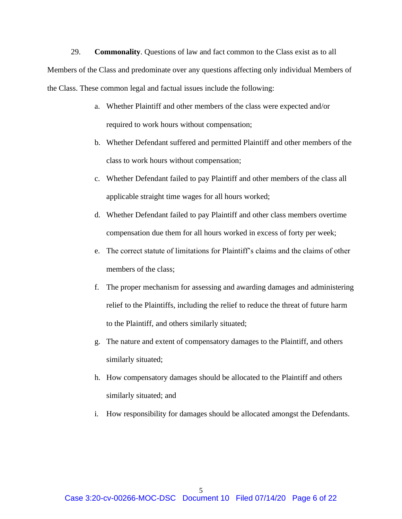29. **Commonality**. Questions of law and fact common to the Class exist as to all Members of the Class and predominate over any questions affecting only individual Members of the Class. These common legal and factual issues include the following:

- a. Whether Plaintiff and other members of the class were expected and/or required to work hours without compensation;
- b. Whether Defendant suffered and permitted Plaintiff and other members of the class to work hours without compensation;
- c. Whether Defendant failed to pay Plaintiff and other members of the class all applicable straight time wages for all hours worked;
- d. Whether Defendant failed to pay Plaintiff and other class members overtime compensation due them for all hours worked in excess of forty per week;
- e. The correct statute of limitations for Plaintiff's claims and the claims of other members of the class;
- f. The proper mechanism for assessing and awarding damages and administering relief to the Plaintiffs, including the relief to reduce the threat of future harm to the Plaintiff, and others similarly situated;
- g. The nature and extent of compensatory damages to the Plaintiff, and others similarly situated;
- h. How compensatory damages should be allocated to the Plaintiff and others similarly situated; and
- i. How responsibility for damages should be allocated amongst the Defendants.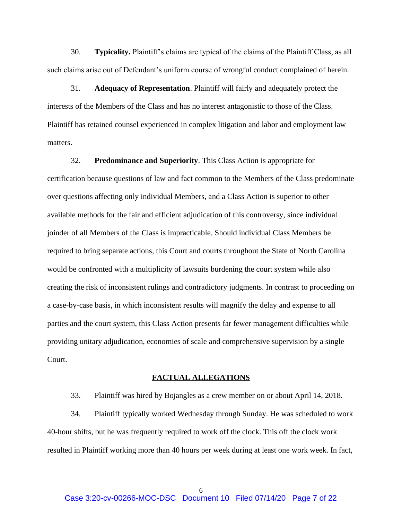30. **Typicality.** Plaintiff's claims are typical of the claims of the Plaintiff Class, as all such claims arise out of Defendant's uniform course of wrongful conduct complained of herein.

31. **Adequacy of Representation**. Plaintiff will fairly and adequately protect the interests of the Members of the Class and has no interest antagonistic to those of the Class. Plaintiff has retained counsel experienced in complex litigation and labor and employment law matters.

32. **Predominance and Superiority**. This Class Action is appropriate for certification because questions of law and fact common to the Members of the Class predominate over questions affecting only individual Members, and a Class Action is superior to other available methods for the fair and efficient adjudication of this controversy, since individual joinder of all Members of the Class is impracticable. Should individual Class Members be required to bring separate actions, this Court and courts throughout the State of North Carolina would be confronted with a multiplicity of lawsuits burdening the court system while also creating the risk of inconsistent rulings and contradictory judgments. In contrast to proceeding on a case-by-case basis, in which inconsistent results will magnify the delay and expense to all parties and the court system, this Class Action presents far fewer management difficulties while providing unitary adjudication, economies of scale and comprehensive supervision by a single Court.

#### **FACTUAL ALLEGATIONS**

33. Plaintiff was hired by Bojangles as a crew member on or about April 14, 2018.

34. Plaintiff typically worked Wednesday through Sunday. He was scheduled to work 40-hour shifts, but he was frequently required to work off the clock. This off the clock work resulted in Plaintiff working more than 40 hours per week during at least one work week. In fact,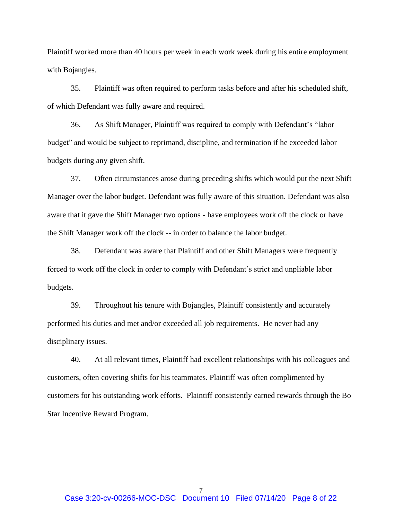Plaintiff worked more than 40 hours per week in each work week during his entire employment with Bojangles.

35. Plaintiff was often required to perform tasks before and after his scheduled shift, of which Defendant was fully aware and required.

36. As Shift Manager, Plaintiff was required to comply with Defendant's "labor budget" and would be subject to reprimand, discipline, and termination if he exceeded labor budgets during any given shift.

37. Often circumstances arose during preceding shifts which would put the next Shift Manager over the labor budget. Defendant was fully aware of this situation. Defendant was also aware that it gave the Shift Manager two options - have employees work off the clock or have the Shift Manager work off the clock -- in order to balance the labor budget.

38. Defendant was aware that Plaintiff and other Shift Managers were frequently forced to work off the clock in order to comply with Defendant's strict and unpliable labor budgets.

39. Throughout his tenure with Bojangles, Plaintiff consistently and accurately performed his duties and met and/or exceeded all job requirements. He never had any disciplinary issues.

40. At all relevant times, Plaintiff had excellent relationships with his colleagues and customers, often covering shifts for his teammates. Plaintiff was often complimented by customers for his outstanding work efforts. Plaintiff consistently earned rewards through the Bo Star Incentive Reward Program.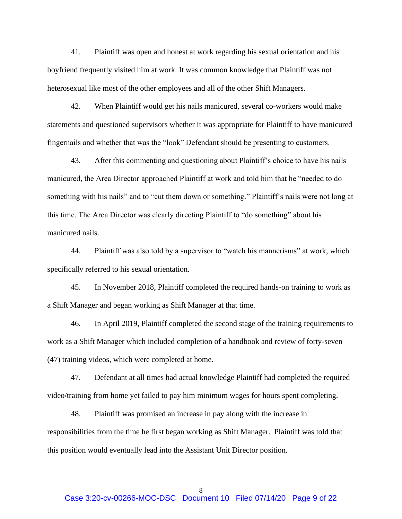41. Plaintiff was open and honest at work regarding his sexual orientation and his boyfriend frequently visited him at work. It was common knowledge that Plaintiff was not heterosexual like most of the other employees and all of the other Shift Managers.

42. When Plaintiff would get his nails manicured, several co-workers would make statements and questioned supervisors whether it was appropriate for Plaintiff to have manicured fingernails and whether that was the "look" Defendant should be presenting to customers.

43. After this commenting and questioning about Plaintiff's choice to have his nails manicured, the Area Director approached Plaintiff at work and told him that he "needed to do something with his nails" and to "cut them down or something." Plaintiff's nails were not long at this time. The Area Director was clearly directing Plaintiff to "do something" about his manicured nails.

44. Plaintiff was also told by a supervisor to "watch his mannerisms" at work, which specifically referred to his sexual orientation.

45. In November 2018, Plaintiff completed the required hands-on training to work as a Shift Manager and began working as Shift Manager at that time.

46. In April 2019, Plaintiff completed the second stage of the training requirements to work as a Shift Manager which included completion of a handbook and review of forty-seven (47) training videos, which were completed at home.

47. Defendant at all times had actual knowledge Plaintiff had completed the required video/training from home yet failed to pay him minimum wages for hours spent completing.

48. Plaintiff was promised an increase in pay along with the increase in responsibilities from the time he first began working as Shift Manager. Plaintiff was told that this position would eventually lead into the Assistant Unit Director position.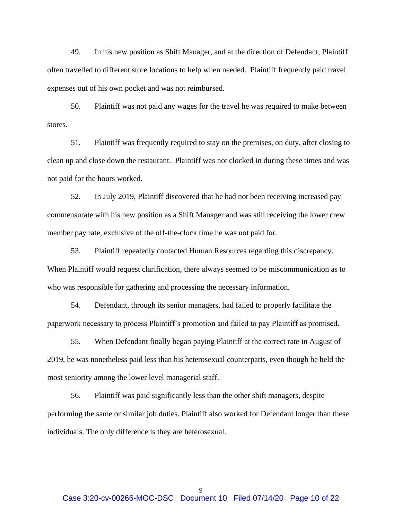49. In his new position as Shift Manager, and at the direction of Defendant, Plaintiff often travelled to different store locations to help when needed. Plaintiff frequently paid travel expenses out of his own pocket and was not reimbursed.

50. Plaintiff was not paid any wages for the travel he was required to make between stores.

51. Plaintiff was frequently required to stay on the premises, on duty, after closing to clean up and close down the restaurant. Plaintiff was not clocked in during these times and was not paid for the hours worked.

52. In July 2019, Plaintiff discovered that he had not been receiving increased pay commensurate with his new position as a Shift Manager and was still receiving the lower crew member pay rate, exclusive of the off-the-clock time he was not paid for.

53. Plaintiff repeatedly contacted Human Resources regarding this discrepancy. When Plaintiff would request clarification, there always seemed to be miscommunication as to who was responsible for gathering and processing the necessary information.

54. Defendant, through its senior managers, had failed to properly facilitate the paperwork necessary to process Plaintiff's promotion and failed to pay Plaintiff as promised.

55. When Defendant finally began paying Plaintiff at the correct rate in August of 2019, he was nonetheless paid less than his heterosexual counterparts, even though he held the most seniority among the lower level managerial staff.

56. Plaintiff was paid significantly less than the other shift managers, despite performing the same or similar job duties. Plaintiff also worked for Defendant longer than these individuals. The only difference is they are heterosexual.

9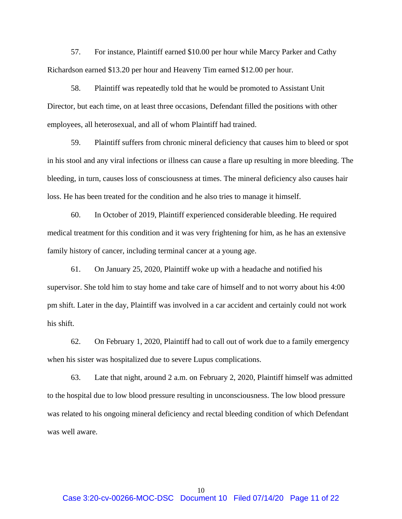57. For instance, Plaintiff earned \$10.00 per hour while Marcy Parker and Cathy Richardson earned \$13.20 per hour and Heaveny Tim earned \$12.00 per hour.

58. Plaintiff was repeatedly told that he would be promoted to Assistant Unit Director, but each time, on at least three occasions, Defendant filled the positions with other employees, all heterosexual, and all of whom Plaintiff had trained.

59. Plaintiff suffers from chronic mineral deficiency that causes him to bleed or spot in his stool and any viral infections or illness can cause a flare up resulting in more bleeding. The bleeding, in turn, causes loss of consciousness at times. The mineral deficiency also causes hair loss. He has been treated for the condition and he also tries to manage it himself.

60. In October of 2019, Plaintiff experienced considerable bleeding. He required medical treatment for this condition and it was very frightening for him, as he has an extensive family history of cancer, including terminal cancer at a young age.

61. On January 25, 2020, Plaintiff woke up with a headache and notified his supervisor. She told him to stay home and take care of himself and to not worry about his 4:00 pm shift. Later in the day, Plaintiff was involved in a car accident and certainly could not work his shift.

62. On February 1, 2020, Plaintiff had to call out of work due to a family emergency when his sister was hospitalized due to severe Lupus complications.

63. Late that night, around 2 a.m. on February 2, 2020, Plaintiff himself was admitted to the hospital due to low blood pressure resulting in unconsciousness. The low blood pressure was related to his ongoing mineral deficiency and rectal bleeding condition of which Defendant was well aware.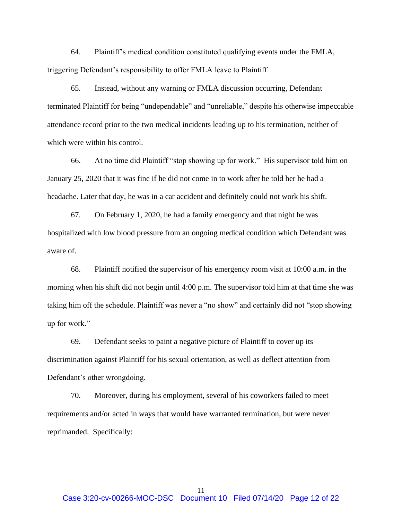64. Plaintiff's medical condition constituted qualifying events under the FMLA, triggering Defendant's responsibility to offer FMLA leave to Plaintiff.

65. Instead, without any warning or FMLA discussion occurring, Defendant terminated Plaintiff for being "undependable" and "unreliable," despite his otherwise impeccable attendance record prior to the two medical incidents leading up to his termination, neither of which were within his control.

66. At no time did Plaintiff "stop showing up for work." His supervisor told him on January 25, 2020 that it was fine if he did not come in to work after he told her he had a headache. Later that day, he was in a car accident and definitely could not work his shift.

67. On February 1, 2020, he had a family emergency and that night he was hospitalized with low blood pressure from an ongoing medical condition which Defendant was aware of.

68. Plaintiff notified the supervisor of his emergency room visit at 10:00 a.m. in the morning when his shift did not begin until 4:00 p.m. The supervisor told him at that time she was taking him off the schedule. Plaintiff was never a "no show" and certainly did not "stop showing up for work."

69. Defendant seeks to paint a negative picture of Plaintiff to cover up its discrimination against Plaintiff for his sexual orientation, as well as deflect attention from Defendant's other wrongdoing.

70. Moreover, during his employment, several of his coworkers failed to meet requirements and/or acted in ways that would have warranted termination, but were never reprimanded. Specifically: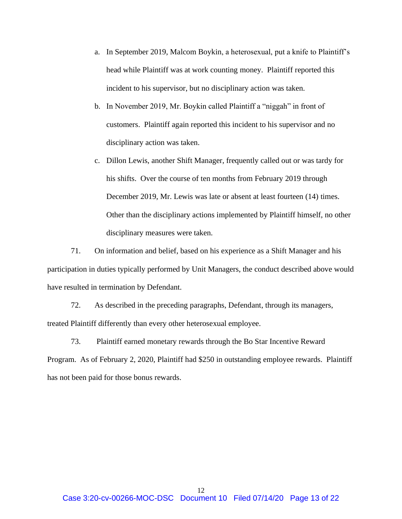- a. In September 2019, Malcom Boykin, a heterosexual, put a knife to Plaintiff's head while Plaintiff was at work counting money. Plaintiff reported this incident to his supervisor, but no disciplinary action was taken.
- b. In November 2019, Mr. Boykin called Plaintiff a "niggah" in front of customers. Plaintiff again reported this incident to his supervisor and no disciplinary action was taken.
- c. Dillon Lewis, another Shift Manager, frequently called out or was tardy for his shifts. Over the course of ten months from February 2019 through December 2019, Mr. Lewis was late or absent at least fourteen (14) times. Other than the disciplinary actions implemented by Plaintiff himself, no other disciplinary measures were taken.

71. On information and belief, based on his experience as a Shift Manager and his participation in duties typically performed by Unit Managers, the conduct described above would have resulted in termination by Defendant.

72. As described in the preceding paragraphs, Defendant, through its managers, treated Plaintiff differently than every other heterosexual employee.

73. Plaintiff earned monetary rewards through the Bo Star Incentive Reward Program. As of February 2, 2020, Plaintiff had \$250 in outstanding employee rewards. Plaintiff has not been paid for those bonus rewards.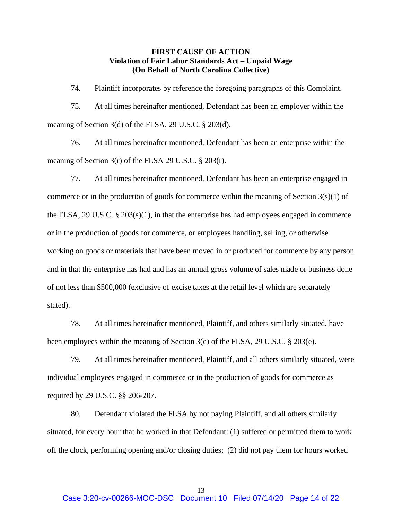## **FIRST CAUSE OF ACTION Violation of Fair Labor Standards Act – Unpaid Wage (On Behalf of North Carolina Collective)**

74. Plaintiff incorporates by reference the foregoing paragraphs of this Complaint.

75. At all times hereinafter mentioned, Defendant has been an employer within the meaning of Section 3(d) of the FLSA, 29 U.S.C. § 203(d).

76. At all times hereinafter mentioned, Defendant has been an enterprise within the meaning of Section 3(r) of the FLSA 29 U.S.C. § 203(r).

77. At all times hereinafter mentioned, Defendant has been an enterprise engaged in commerce or in the production of goods for commerce within the meaning of Section  $3(s)(1)$  of the FLSA, 29 U.S.C.  $\S 203(s)(1)$ , in that the enterprise has had employees engaged in commerce or in the production of goods for commerce, or employees handling, selling, or otherwise working on goods or materials that have been moved in or produced for commerce by any person and in that the enterprise has had and has an annual gross volume of sales made or business done of not less than \$500,000 (exclusive of excise taxes at the retail level which are separately stated).

78. At all times hereinafter mentioned, Plaintiff, and others similarly situated, have been employees within the meaning of Section 3(e) of the FLSA, 29 U.S.C. § 203(e).

79. At all times hereinafter mentioned, Plaintiff, and all others similarly situated, were individual employees engaged in commerce or in the production of goods for commerce as required by 29 U.S.C. §§ 206-207.

80. Defendant violated the FLSA by not paying Plaintiff, and all others similarly situated, for every hour that he worked in that Defendant: (1) suffered or permitted them to work off the clock, performing opening and/or closing duties; (2) did not pay them for hours worked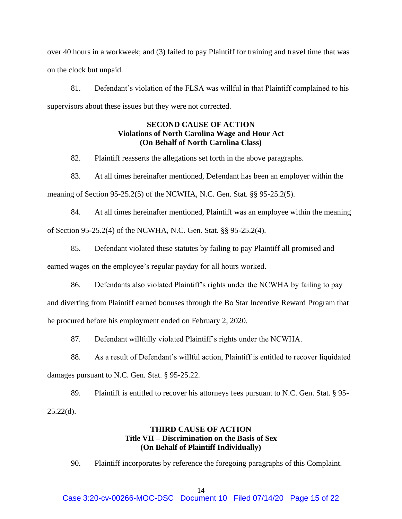over 40 hours in a workweek; and (3) failed to pay Plaintiff for training and travel time that was on the clock but unpaid.

81. Defendant's violation of the FLSA was willful in that Plaintiff complained to his supervisors about these issues but they were not corrected.

# **SECOND CAUSE OF ACTION Violations of North Carolina Wage and Hour Act (On Behalf of North Carolina Class)**

82. Plaintiff reasserts the allegations set forth in the above paragraphs.

83. At all times hereinafter mentioned, Defendant has been an employer within the

meaning of Section 95-25.2(5) of the NCWHA, N.C. Gen. Stat. §§ 95-25.2(5).

84. At all times hereinafter mentioned, Plaintiff was an employee within the meaning of Section 95-25.2(4) of the NCWHA, N.C. Gen. Stat. §§ 95-25.2(4).

85. Defendant violated these statutes by failing to pay Plaintiff all promised and earned wages on the employee's regular payday for all hours worked.

86. Defendants also violated Plaintiff's rights under the NCWHA by failing to pay

and diverting from Plaintiff earned bonuses through the Bo Star Incentive Reward Program that he procured before his employment ended on February 2, 2020.

87. Defendant willfully violated Plaintiff's rights under the NCWHA.

88. As a result of Defendant's willful action, Plaintiff is entitled to recover liquidated damages pursuant to N.C. Gen. Stat. § 95-25.22.

89. Plaintiff is entitled to recover his attorneys fees pursuant to N.C. Gen. Stat. § 95-  $25.22(d)$ .

# **THIRD CAUSE OF ACTION Title VII – Discrimination on the Basis of Sex (On Behalf of Plaintiff Individually)**

90. Plaintiff incorporates by reference the foregoing paragraphs of this Complaint.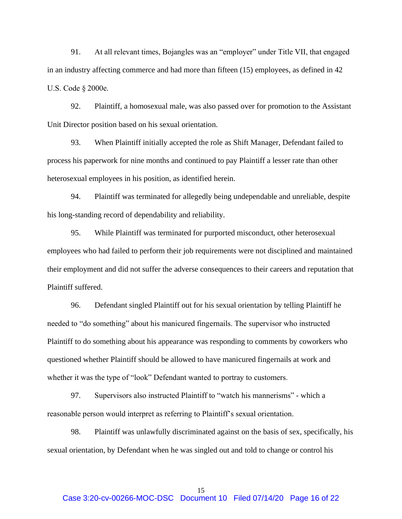91. At all relevant times, Bojangles was an "employer" under Title VII, that engaged in an industry affecting commerce and had more than fifteen (15) employees, as defined in 42 U.S. Code § 2000e.

92. Plaintiff, a homosexual male, was also passed over for promotion to the Assistant Unit Director position based on his sexual orientation.

93. When Plaintiff initially accepted the role as Shift Manager, Defendant failed to process his paperwork for nine months and continued to pay Plaintiff a lesser rate than other heterosexual employees in his position, as identified herein.

94. Plaintiff was terminated for allegedly being undependable and unreliable, despite his long-standing record of dependability and reliability.

95. While Plaintiff was terminated for purported misconduct, other heterosexual employees who had failed to perform their job requirements were not disciplined and maintained their employment and did not suffer the adverse consequences to their careers and reputation that Plaintiff suffered.

96. Defendant singled Plaintiff out for his sexual orientation by telling Plaintiff he needed to "do something" about his manicured fingernails. The supervisor who instructed Plaintiff to do something about his appearance was responding to comments by coworkers who questioned whether Plaintiff should be allowed to have manicured fingernails at work and whether it was the type of "look" Defendant wanted to portray to customers.

97. Supervisors also instructed Plaintiff to "watch his mannerisms" - which a reasonable person would interpret as referring to Plaintiff's sexual orientation.

98. Plaintiff was unlawfully discriminated against on the basis of sex, specifically, his sexual orientation, by Defendant when he was singled out and told to change or control his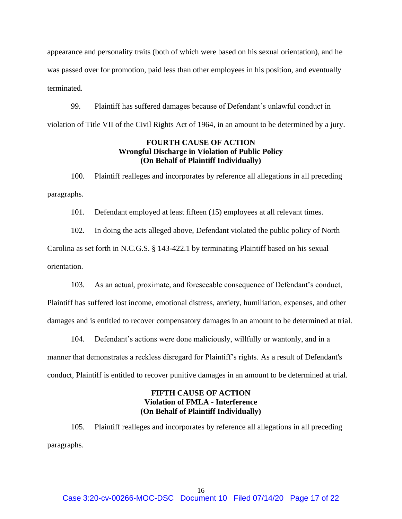appearance and personality traits (both of which were based on his sexual orientation), and he was passed over for promotion, paid less than other employees in his position, and eventually terminated.

99. Plaintiff has suffered damages because of Defendant's unlawful conduct in violation of Title VII of the Civil Rights Act of 1964, in an amount to be determined by a jury.

## **FOURTH CAUSE OF ACTION Wrongful Discharge in Violation of Public Policy (On Behalf of Plaintiff Individually)**

100. Plaintiff realleges and incorporates by reference all allegations in all preceding paragraphs.

101. Defendant employed at least fifteen (15) employees at all relevant times.

102. In doing the acts alleged above, Defendant violated the public policy of North Carolina as set forth in N.C.G.S. § 143-422.1 by terminating Plaintiff based on his sexual orientation.

103. As an actual, proximate, and foreseeable consequence of Defendant's conduct,

Plaintiff has suffered lost income, emotional distress, anxiety, humiliation, expenses, and other damages and is entitled to recover compensatory damages in an amount to be determined at trial.

104. Defendant's actions were done maliciously, willfully or wantonly, and in a manner that demonstrates a reckless disregard for Plaintiff's rights. As a result of Defendant's conduct, Plaintiff is entitled to recover punitive damages in an amount to be determined at trial.

# **FIFTH CAUSE OF ACTION Violation of FMLA - Interference (On Behalf of Plaintiff Individually)**

105. Plaintiff realleges and incorporates by reference all allegations in all preceding paragraphs.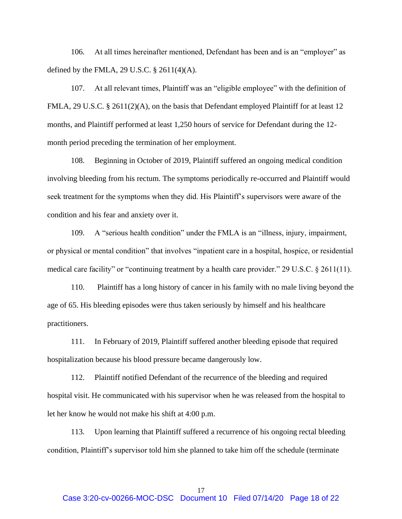106. At all times hereinafter mentioned, Defendant has been and is an "employer" as defined by the FMLA, 29 U.S.C.  $\S$  2611(4)(A).

107. At all relevant times, Plaintiff was an "eligible employee" with the definition of FMLA, 29 U.S.C. § 2611(2)(A), on the basis that Defendant employed Plaintiff for at least 12 months, and Plaintiff performed at least 1,250 hours of service for Defendant during the 12 month period preceding the termination of her employment.

108. Beginning in October of 2019, Plaintiff suffered an ongoing medical condition involving bleeding from his rectum. The symptoms periodically re-occurred and Plaintiff would seek treatment for the symptoms when they did. His Plaintiff's supervisors were aware of the condition and his fear and anxiety over it.

109. A "serious health condition" under the FMLA is an "illness, injury, impairment, or physical or mental condition" that involves "inpatient care in a hospital, hospice, or residential medical care facility" or "continuing treatment by a health care provider." 29 U.S.C. § 2611(11).

110. Plaintiff has a long history of cancer in his family with no male living beyond the age of 65. His bleeding episodes were thus taken seriously by himself and his healthcare practitioners.

111. In February of 2019, Plaintiff suffered another bleeding episode that required hospitalization because his blood pressure became dangerously low.

112. Plaintiff notified Defendant of the recurrence of the bleeding and required hospital visit. He communicated with his supervisor when he was released from the hospital to let her know he would not make his shift at 4:00 p.m.

113. Upon learning that Plaintiff suffered a recurrence of his ongoing rectal bleeding condition, Plaintiff's supervisor told him she planned to take him off the schedule (terminate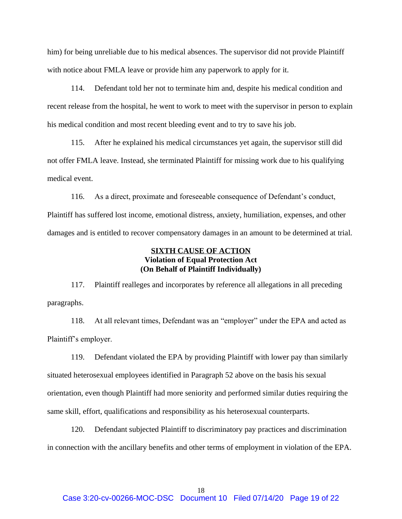him) for being unreliable due to his medical absences. The supervisor did not provide Plaintiff with notice about FMLA leave or provide him any paperwork to apply for it.

114. Defendant told her not to terminate him and, despite his medical condition and recent release from the hospital, he went to work to meet with the supervisor in person to explain his medical condition and most recent bleeding event and to try to save his job.

115. After he explained his medical circumstances yet again, the supervisor still did not offer FMLA leave. Instead, she terminated Plaintiff for missing work due to his qualifying medical event.

116. As a direct, proximate and foreseeable consequence of Defendant's conduct, Plaintiff has suffered lost income, emotional distress, anxiety, humiliation, expenses, and other damages and is entitled to recover compensatory damages in an amount to be determined at trial.

# **SIXTH CAUSE OF ACTION Violation of Equal Protection Act (On Behalf of Plaintiff Individually)**

117. Plaintiff realleges and incorporates by reference all allegations in all preceding paragraphs.

118. At all relevant times, Defendant was an "employer" under the EPA and acted as Plaintiff's employer.

119. Defendant violated the EPA by providing Plaintiff with lower pay than similarly situated heterosexual employees identified in Paragraph 52 above on the basis his sexual orientation, even though Plaintiff had more seniority and performed similar duties requiring the same skill, effort, qualifications and responsibility as his heterosexual counterparts.

120. Defendant subjected Plaintiff to discriminatory pay practices and discrimination in connection with the ancillary benefits and other terms of employment in violation of the EPA.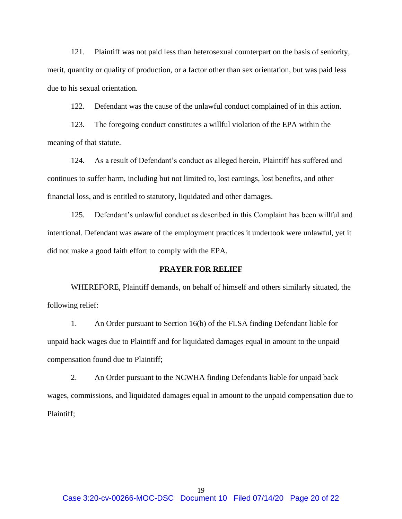121. Plaintiff was not paid less than heterosexual counterpart on the basis of seniority, merit, quantity or quality of production, or a factor other than sex orientation, but was paid less due to his sexual orientation.

122. Defendant was the cause of the unlawful conduct complained of in this action.

123. The foregoing conduct constitutes a willful violation of the EPA within the meaning of that statute.

124. As a result of Defendant's conduct as alleged herein, Plaintiff has suffered and continues to suffer harm, including but not limited to, lost earnings, lost benefits, and other financial loss, and is entitled to statutory, liquidated and other damages.

125. Defendant's unlawful conduct as described in this Complaint has been willful and intentional. Defendant was aware of the employment practices it undertook were unlawful, yet it did not make a good faith effort to comply with the EPA.

#### **PRAYER FOR RELIEF**

WHEREFORE, Plaintiff demands, on behalf of himself and others similarly situated, the following relief:

1. An Order pursuant to Section 16(b) of the FLSA finding Defendant liable for unpaid back wages due to Plaintiff and for liquidated damages equal in amount to the unpaid compensation found due to Plaintiff;

2. An Order pursuant to the NCWHA finding Defendants liable for unpaid back wages, commissions, and liquidated damages equal in amount to the unpaid compensation due to Plaintiff;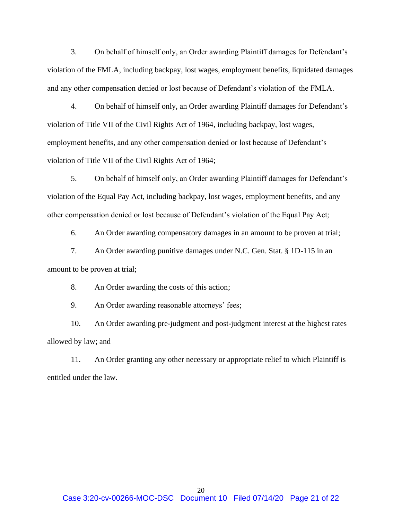3. On behalf of himself only, an Order awarding Plaintiff damages for Defendant's violation of the FMLA, including backpay, lost wages, employment benefits, liquidated damages and any other compensation denied or lost because of Defendant's violation of the FMLA.

4. On behalf of himself only, an Order awarding Plaintiff damages for Defendant's violation of Title VII of the Civil Rights Act of 1964, including backpay, lost wages, employment benefits, and any other compensation denied or lost because of Defendant's violation of Title VII of the Civil Rights Act of 1964;

5. On behalf of himself only, an Order awarding Plaintiff damages for Defendant's violation of the Equal Pay Act, including backpay, lost wages, employment benefits, and any other compensation denied or lost because of Defendant's violation of the Equal Pay Act;

6. An Order awarding compensatory damages in an amount to be proven at trial;

7. An Order awarding punitive damages under N.C. Gen. Stat. § 1D-115 in an amount to be proven at trial;

8. An Order awarding the costs of this action;

9. An Order awarding reasonable attorneys' fees;

10. An Order awarding pre-judgment and post-judgment interest at the highest rates allowed by law; and

11. An Order granting any other necessary or appropriate relief to which Plaintiff is entitled under the law.